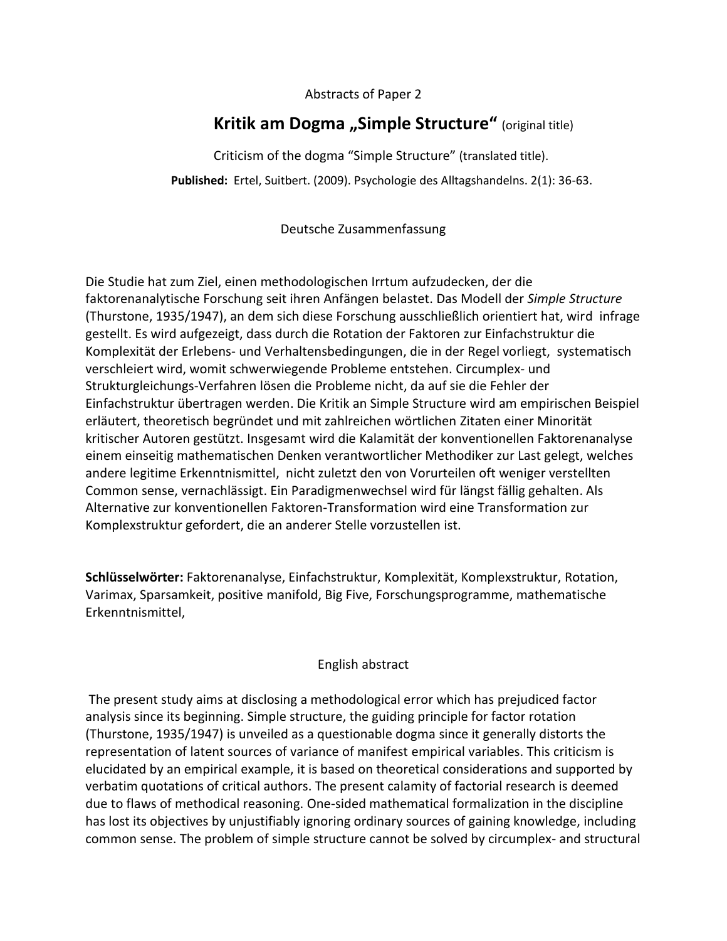## Abstracts of Paper 2

## **Kritik am Dogma "Simple Structure"** (original title)

Criticism of the dogma "Simple Structure" (translated title). **Published:** Ertel, Suitbert. (2009). Psychologie des Alltagshandelns. 2(1): 36-63.

Deutsche Zusammenfassung

Die Studie hat zum Ziel, einen methodologischen Irrtum aufzudecken, der die faktorenanalytische Forschung seit ihren Anfängen belastet. Das Modell der *Simple Structure*  (Thurstone, 1935/1947), an dem sich diese Forschung ausschließlich orientiert hat, wird infrage gestellt. Es wird aufgezeigt, dass durch die Rotation der Faktoren zur Einfachstruktur die Komplexität der Erlebens- und Verhaltensbedingungen, die in der Regel vorliegt, systematisch verschleiert wird, womit schwerwiegende Probleme entstehen. Circumplex- und Strukturgleichungs-Verfahren lösen die Probleme nicht, da auf sie die Fehler der Einfachstruktur übertragen werden. Die Kritik an Simple Structure wird am empirischen Beispiel erläutert, theoretisch begründet und mit zahlreichen wörtlichen Zitaten einer Minorität kritischer Autoren gestützt. Insgesamt wird die Kalamität der konventionellen Faktorenanalyse einem einseitig mathematischen Denken verantwortlicher Methodiker zur Last gelegt, welches andere legitime Erkenntnismittel, nicht zuletzt den von Vorurteilen oft weniger verstellten Common sense, vernachlässigt. Ein Paradigmenwechsel wird für längst fällig gehalten. Als Alternative zur konventionellen Faktoren-Transformation wird eine Transformation zur Komplexstruktur gefordert, die an anderer Stelle vorzustellen ist.

**Schlüsselwörter:** Faktorenanalyse, Einfachstruktur, Komplexität, Komplexstruktur, Rotation, Varimax, Sparsamkeit, positive manifold, Big Five, Forschungsprogramme, mathematische Erkenntnismittel,

## English abstract

The present study aims at disclosing a methodological error which has prejudiced factor analysis since its beginning. Simple structure, the guiding principle for factor rotation (Thurstone, 1935/1947) is unveiled as a questionable dogma since it generally distorts the representation of latent sources of variance of manifest empirical variables. This criticism is elucidated by an empirical example, it is based on theoretical considerations and supported by verbatim quotations of critical authors. The present calamity of factorial research is deemed due to flaws of methodical reasoning. One-sided mathematical formalization in the discipline has lost its objectives by unjustifiably ignoring ordinary sources of gaining knowledge, including common sense. The problem of simple structure cannot be solved by circumplex- and structural